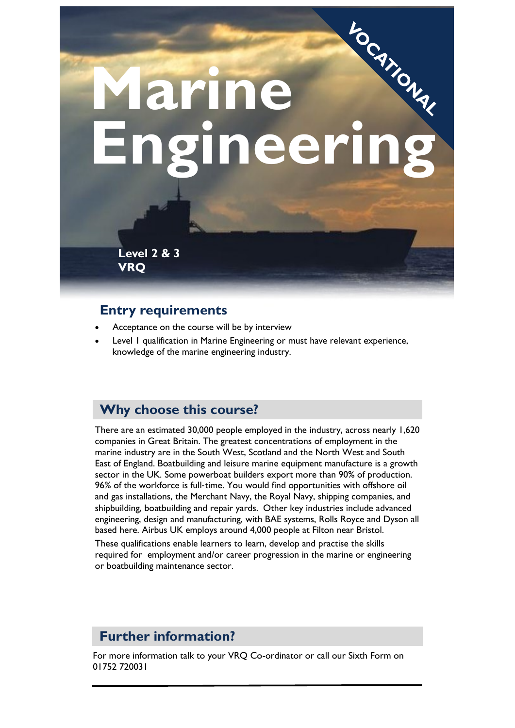

#### **Entry requirements**

- Acceptance on the course will be by interview
- Level 1 qualification in Marine Engineering or must have relevant experience, knowledge of the marine engineering industry.

#### **Why choose this course?**

There are an estimated 30,000 people employed in the industry, across nearly 1,620 companies in Great Britain. The greatest concentrations of employment in the marine industry are in the South West, Scotland and the North West and South East of England. Boatbuilding and leisure marine equipment manufacture is a growth sector in the UK. Some powerboat builders export more than 90% of production. 96% of the workforce is full-time. You would find opportunities with offshore oil and gas installations, the Merchant Navy, the Royal Navy, shipping companies, and shipbuilding, boatbuilding and repair yards. Other key industries include advanced engineering, design and manufacturing, with BAE systems, Rolls Royce and Dyson all based here. Airbus UK employs around 4,000 people at Filton near Bristol.

These qualifications enable learners to learn, develop and practise the skills required for employment and/or career progression in the marine or engineering or boatbuilding maintenance sector.

## **Further information?**

For more information talk to your VRQ Co-ordinator or call our Sixth Form on 01752 720031